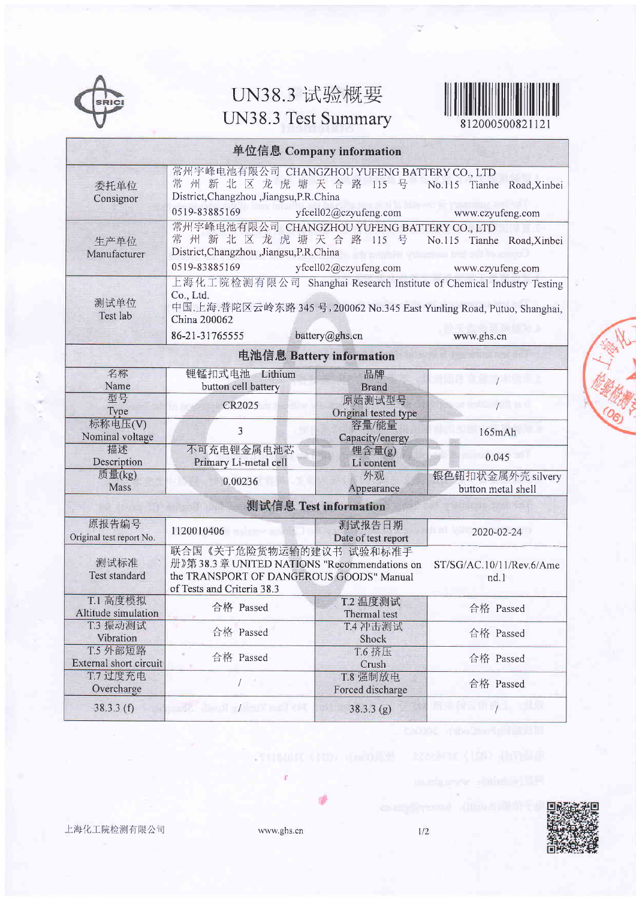

## UN38.3 试验概要 UN38.3 Test Summary



812000500821121

| 单位信息 Company information           |                                                                                                                                                                                                                  |                                |                                                |
|------------------------------------|------------------------------------------------------------------------------------------------------------------------------------------------------------------------------------------------------------------|--------------------------------|------------------------------------------------|
| 委托单位<br>Consignor                  | 常州宇峰电池有限公司 CHANGZHOU YUFENG BATTERY CO., LTD<br>常州新北区龙虎塘天合路 115 号<br>District, Changzhou, Jiangsu, P.R. China<br>0519-83885169                                                                                   | yfcell02@czyufeng.com          | No.115 Tianhe Road, Xinbei<br>www.czyufeng.com |
| 生产单位<br>Manufacturer               | 常州宇峰电池有限公司 CHANGZHOU YUFENG BATTERY CO., LTD<br>常州新北区龙虎塘天合路 115 号<br>No.115 Tianhe Road, Xinbei<br>District, Changzhou , Jiangsu, P.R. China<br>0519-83885169<br>yfcell02@czyufeng.com<br>www.czyufeng.com       |                                |                                                |
| 测试单位<br>Test lab                   | 上海化工院检测有限公司 Shanghai Research Institute of Chemical Industry Testing<br>Co., Ltd.<br>中国. 上海.普陀区云岭东路 345 号, 200062 No.345 East Yunling Road, Putuo, Shanghai,<br>China 200062<br>86-21-31765555<br>battery@ghs.cn |                                |                                                |
|                                    |                                                                                                                                                                                                                  |                                | www.ghs.cn                                     |
| 电池信息 Battery information           |                                                                                                                                                                                                                  |                                |                                                |
| 名称<br>Name                         | 锂锰扣式电池 Lithium<br>button cell battery                                                                                                                                                                            | 品牌<br><b>Brand</b>             | nt   01:00 TO 13:00                            |
| 型号<br>Type                         | CR2025                                                                                                                                                                                                           | 原始测试型号<br>Original tested type | $\mathbb{R}^n$ . The property $\mathbb{R}^n$   |
| 标称电压(V)<br>Nominal voltage         | 3                                                                                                                                                                                                                | 容量/能量<br>Capacity/energy       | 165mAh                                         |
| 描述<br>Description                  | 不可充电锂金属电池芯<br>Primary Li-metal cell                                                                                                                                                                              | 锂含量(g)<br>Li content           | 0.045                                          |
| 质量(kg)<br>Mass                     | 0.00236                                                                                                                                                                                                          | 外观<br>Appearance               | 银色钮扣状金属外壳 silvery<br>button metal shell        |
| 测试信息 Test information              |                                                                                                                                                                                                                  |                                |                                                |
| 原报告编号<br>Original test report No.  | 1120010406                                                                                                                                                                                                       | 测试报告日期<br>Date of test report  | 2020-02-24                                     |
| 测试标准<br>Test standard              | 联合国《关于危险货物运输的建议书 试验和标准手<br>册》第38.3章 UNITED NATIONS "Recommendations on<br>ST/SG/AC.10/11/Rev.6/Ame<br>the TRANSPORT OF DANGEROUS GOODS" Manual<br>nd.1<br>of Tests and Criteria 38.3                             |                                |                                                |
| T.1 高度模拟<br>Altitude simulation    | 合格 Passed                                                                                                                                                                                                        | T.2 温度测试<br>Thermal test       | 合格 Passed                                      |
| T.3 振动测试<br>Vibration              | 合格 Passed                                                                                                                                                                                                        | T.4 冲击测试<br>Shock              | 合格 Passed                                      |
| T.5 外部短路<br>External short circuit | 合格 Passed                                                                                                                                                                                                        | T.6 挤压<br>Crush                | 合格 Passed                                      |
| T.7 过度充电<br>Overcharge             |                                                                                                                                                                                                                  | T.8 强制放电<br>Forced discharge   | 合格 Passed                                      |
| 38.3.3(f)                          | <b>ILESCA ALANOT DYNAMIC PORT CHE</b>                                                                                                                                                                            | 38.3.3(g)                      | $\mathcal{L}$                                  |

上海化工院检测有限公司

www.ghs.cn

central crime designed